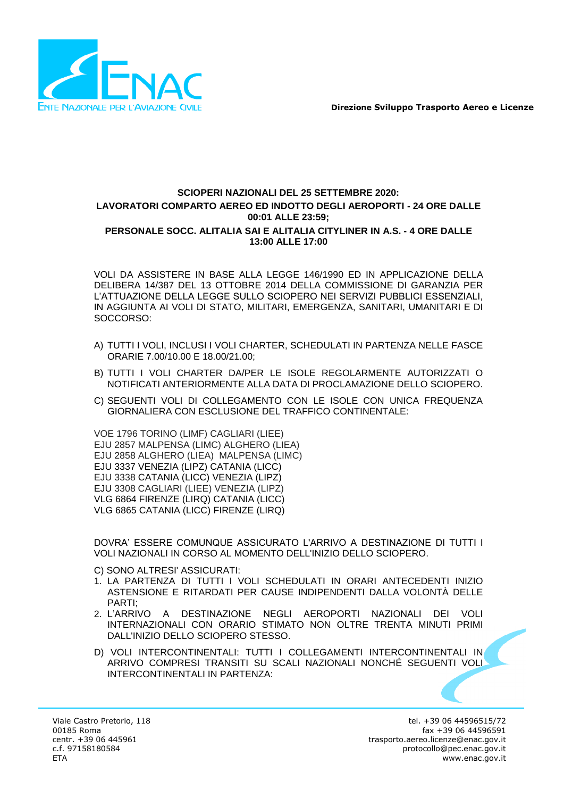

## **SCIOPERI NAZIONALI DEL 25 SETTEMBRE 2020: LAVORATORI COMPARTO AEREO ED INDOTTO DEGLI AEROPORTI - 24 ORE DALLE 00:01 ALLE 23:59; PERSONALE SOCC. ALITALIA SAI E ALITALIA CITYLINER IN A.S. - 4 ORE DALLE 13:00 ALLE 17:00**

VOLI DA ASSISTERE IN BASE ALLA LEGGE 146/1990 ED IN APPLICAZIONE DELLA DELIBERA 14/387 DEL 13 OTTOBRE 2014 DELLA COMMISSIONE DI GARANZIA PER L'ATTUAZIONE DELLA LEGGE SULLO SCIOPERO NEI SERVIZI PUBBLICI ESSENZIALI, IN AGGIUNTA AI VOLI DI STATO, MILITARI, EMERGENZA, SANITARI, UMANITARI E DI SOCCORSO:

- A) TUTTI I VOLI, INCLUSI I VOLI CHARTER, SCHEDULATI IN PARTENZA NELLE FASCE ORARIE 7.00/10.00 E 18.00/21.00;
- B) TUTTI I VOLI CHARTER DA/PER LE ISOLE REGOLARMENTE AUTORIZZATI O NOTIFICATI ANTERIORMENTE ALLA DATA DI PROCLAMAZIONE DELLO SCIOPERO.
- C) SEGUENTI VOLI DI COLLEGAMENTO CON LE ISOLE CON UNICA FREQUENZA GIORNALIERA CON ESCLUSIONE DEL TRAFFICO CONTINENTALE:

VOE 1796 TORINO (LIMF) CAGLIARI (LIEE) EJU 2857 MALPENSA (LIMC) ALGHERO (LIEA) EJU 2858 ALGHERO (LIEA) MALPENSA (LIMC) EJU 3337 VENEZIA (LIPZ) CATANIA (LICC) EJU 3338 CATANIA (LICC) VENEZIA (LIPZ) EJU 3308 CAGLIARI (LIEE) VENEZIA (LIPZ) VLG 6864 FIRENZE (LIRQ) CATANIA (LICC) VLG 6865 CATANIA (LICC) FIRENZE (LIRQ)

DOVRA' ESSERE COMUNQUE ASSICURATO L'ARRIVO A DESTINAZIONE DI TUTTI I VOLI NAZIONALI IN CORSO AL MOMENTO DELL'INIZIO DELLO SCIOPERO.

C) SONO ALTRESI' ASSICURATI:

- 1. LA PARTENZA DI TUTTI I VOLI SCHEDULATI IN ORARI ANTECEDENTI INIZIO ASTENSIONE E RITARDATI PER CAUSE INDIPENDENTI DALLA VOLONTÀ DELLE PARTI;
- 2. L'ARRIVO A DESTINAZIONE NEGLI AEROPORTI NAZIONALI DEI VOLI INTERNAZIONALI CON ORARIO STIMATO NON OLTRE TRENTA MINUTI PRIMI DALL'INIZIO DELLO SCIOPERO STESSO.
- D) VOLI INTERCONTINENTALI: TUTTI I COLLEGAMENTI INTERCONTINENTALI IN ARRIVO COMPRESI TRANSITI SU SCALI NAZIONALI NONCHÉ SEGUENTI VOLI INTERCONTINENTALI IN PARTENZA: